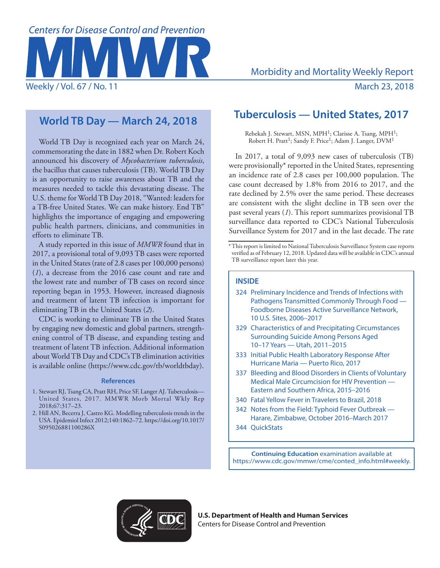

# **World TB Day — March 24, 2018**

World TB Day is recognized each year on March 24, commemorating the date in 1882 when Dr. Robert Koch announced his discovery of *Mycobacterium tuberculosis*, the bacillus that causes tuberculosis (TB). World TB Day is an opportunity to raise awareness about TB and the measures needed to tackle this devastating disease. The U.S. theme for World TB Day 2018, "Wanted: leaders for a TB-free United States. We can make history. End TB" highlights the importance of engaging and empowering public health partners, clinicians, and communities in efforts to eliminate TB.

A study reported in this issue of *MMWR* found that in 2017, a provisional total of 9,093 TB cases were reported in the United States (rate of 2.8 cases per 100,000 persons) (*1*), a decrease from the 2016 case count and rate and the lowest rate and number of TB cases on record since reporting began in 1953. However, increased diagnosis and treatment of latent TB infection is important for eliminating TB in the United States (*2*).

CDC is working to eliminate TB in the United States by engaging new domestic and global partners, strengthening control of TB disease, and expanding testing and treatment of latent TB infection. Additional information about World TB Day and CDC's TB elimination activities is available online [\(https://www.cdc.gov/tb/worldtbday\)](https://www.cdc.gov/tb/worldtbday).

## **References**

- 1. Stewart RJ, Tsang CA, Pratt RH, Price SF, Langer AJ. Tuberculosis— United States, 2017. MMWR Morb Mortal Wkly Rep 2018;67:317–23.
- 2. Hill AN, Becerra J, Castro KG. Modelling tuberculosis trends in the USA. Epidemiol Infect 2012;140:1862–72. [https://doi.org/10.1017/](https://doi.org/10.1017/S095026881100286X) [S095026881100286X](https://doi.org/10.1017/S095026881100286X)

# **Tuberculosis — United States, 2017**

Rebekah J. Stewart, MSN, MPH1; Clarisse A. Tsang, MPH1; Robert H. Pratt<sup>1</sup>; Sandy F. Price<sup>1</sup>; Adam J. Langer, DVM<sup>1</sup>

In 2017, a total of 9,093 new cases of tuberculosis (TB) were provisionally\* reported in the United States, representing an incidence rate of 2.8 cases per 100,000 population. The case count decreased by 1.8% from 2016 to 2017, and the rate declined by 2.5% over the same period. These decreases are consistent with the slight decline in TB seen over the past several years (*1*). This report summarizes provisional TB surveillance data reported to CDC's National Tuberculosis Surveillance System for 2017 and in the last decade. The rate

# **INSIDE**

- 324 Preliminary Incidence and Trends of Infections with Pathogens Transmitted Commonly Through Food — Foodborne Diseases Active Surveillance Network, 10 U.S. Sites, 2006–2017
- 329 Characteristics of and Precipitating Circumstances Surrounding Suicide Among Persons Aged 10–17 Years — Utah, 2011–2015
- 333 Initial Public Health Laboratory Response After Hurricane Maria — Puerto Rico, 2017
- 337 Bleeding and Blood Disorders in Clients of Voluntary Medical Male Circumcision for HIV Prevention — Eastern and Southern Africa, 2015–2016
- 340 Fatal Yellow Fever in Travelers to Brazil, 2018
- 342 Notes from the Field: Typhoid Fever Outbreak Harare, Zimbabwe, October 2016–March 2017
- 344 QuickStats

**Continuing Education** examination available at [https://www.cdc.gov/mmwr/cme/conted\\_info.html#weekly](https://www.cdc.gov/mmwr/cme/conted_info.html#weekly).



**U.S. Department of Health and Human Services** Centers for Disease Control and Prevention

<sup>\*</sup>This report is limited to National Tuberculosis Surveillance System case reports verified as of February 12, 2018. Updated data will be available in CDC's annual TB surveillance report later this year.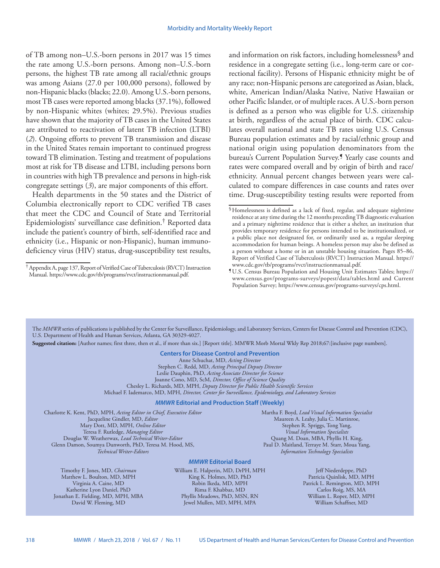of TB among non–U.S.-born persons in 2017 was 15 times the rate among U.S.-born persons. Among non–U.S.-born persons, the highest TB rate among all racial/ethnic groups was among Asians (27.0 per 100,000 persons), followed by non-Hispanic blacks (blacks; 22.0). Among U.S.-born persons, most TB cases were reported among blacks (37.1%), followed by non-Hispanic whites (whites; 29.5%). Previous studies have shown that the majority of TB cases in the United States are attributed to reactivation of latent TB infection (LTBI) (*2*). Ongoing efforts to prevent TB transmission and disease in the United States remain important to continued progress toward TB elimination. Testing and treatment of populations most at risk for TB disease and LTBI, including persons born in countries with high TB prevalence and persons in high-risk congregate settings (*3*), are major components of this effort.

Health departments in the 50 states and the District of Columbia electronically report to CDC verified TB cases that meet the CDC and Council of State and Territorial Epidemiologists' surveillance case definition.† Reported data include the patient's country of birth, self-identified race and ethnicity (i.e., Hispanic or non-Hispanic), human immunodeficiency virus (HIV) status, drug-susceptibility test results,

and information on risk factors, including homelessness<sup>§</sup> and residence in a congregate setting (i.e., long-term care or correctional facility). Persons of Hispanic ethnicity might be of any race; non-Hispanic persons are categorized as Asian, black, white, American Indian/Alaska Native, Native Hawaiian or other Pacific Islander, or of multiple races. A U.S.-born person is defined as a person who was eligible for U.S. citizenship at birth, regardless of the actual place of birth. CDC calculates overall national and state TB rates using U.S. Census Bureau population estimates and by racial/ethnic group and national origin using population denominators from the bureau's Current Population Survey.<sup>1</sup> Yearly case counts and rates were compared overall and by origin of birth and race/ ethnicity. Annual percent changes between years were calculated to compare differences in case counts and rates over time. Drug-susceptibility testing results were reported from

The *MMWR* series of publications is published by the Center for Surveillance, Epidemiology, and Laboratory Services, Centers for Disease Control and Prevention (CDC), U.S. Department of Health and Human Services, Atlanta, GA 30329-4027.

**Suggested citation:** [Author names; first three, then et al., if more than six.] [Report title]. MMWR Morb Mortal Wkly Rep 2018;67:[inclusive page numbers].

**Centers for Disease Control and Prevention** Anne Schuchat, MD, *Acting Director* Stephen C. Redd, MD, *Acting Principal Deputy Director* Leslie Dauphin, PhD, *Acting Associate Director for Science* Joanne Cono, MD, ScM, *Director, Office of Science Quality*  Chesley L. Richards, MD, MPH, *Deputy Director for Public Health Scientific Services* Michael F. Iademarco, MD, MPH, *Director, Center for Surveillance, Epidemiology, and Laboratory Services*

### *MMWR* **Editorial and Production Staff (Weekly)**

Phyllis Meadows, PhD, MSN, RN Jewel Mullen, MD, MPH, MPA

Charlotte K. Kent, PhD, MPH, *Acting Editor in Chief, Executive Editor* Jacqueline Gindler, MD, *Editor* Mary Dott, MD, MPH, *Online Editor* Teresa F. Rutledge, *Managing Editor* Douglas W. Weatherwax, *Lead Technical Writer-Editor* Glenn Damon, Soumya Dunworth, PhD, Teresa M. Hood, MS, *Technical Writer-Editors*

Timothy F. Jones, MD, *Chairman* Matthew L. Boulton, MD, MPH Virginia A. Caine, MD Katherine Lyon Daniel, PhD Jonathan E. Fielding, MD, MPH, MBA David W. Fleming, MD

*MMWR* **Editorial Board** William E. Halperin, MD, DrPH, MPH King K. Holmes, MD, PhD Robin Ikeda, MD, MPH Rima F. Khabbaz, MD

Martha F. Boyd, *Lead Visual Information Specialist* Maureen A. Leahy, Julia C. Martinroe, Stephen R. Spriggs, Tong Yang, *Visual Information Specialists* Quang M. Doan, MBA, Phyllis H. King, Paul D. Maitland, Terraye M. Starr, Moua Yang, *Information Technology Specialists*

> Jeff Niederdeppe, PhD Patricia Quinlisk, MD, MPH Patrick L. Remington, MD, MPH Carlos Roig, MS, MA William L. Roper, MD, MPH William Schaffner, MD

<sup>†</sup>Appendix A, page 137, Report of Verified Case of Tuberculosis (RVCT) Instruction Manual. <https://www.cdc.gov/tb/programs/rvct/instructionmanual.pdf>.

<sup>§</sup>Homelessness is defined as a lack of fixed, regular, and adequate nighttime residence at any time during the 12 months preceding TB diagnostic evaluation and a primary nighttime residence that is either a shelter, an institution that provides temporary residence for persons intended to be institutionalized, or a public place not designated for, or ordinarily used as, a regular sleeping accommodation for human beings. A homeless person may also be defined as a person without a home or in an unstable housing situation. Pages 85–86, Report of Verified Case of Tuberculosis (RVCT) Instruction Manual. [https://](https://www.cdc.gov/tb/programs/rvct/instructionmanual.pdf)

<sup>&</sup>lt;sup>1</sup>U.S. Census Bureau Population and Housing Unit Estimates Tables; [https://](https://www.census.gov/programs-surveys/popest/data/tables.html) [www.census.gov/programs-surveys/popest/data/tables.html](https://www.census.gov/programs-surveys/popest/data/tables.html) and Current Population Survey; [https://www.census.gov/programs-surveys/cps.html.](https://www.census.gov/programs-surveys/cps.html)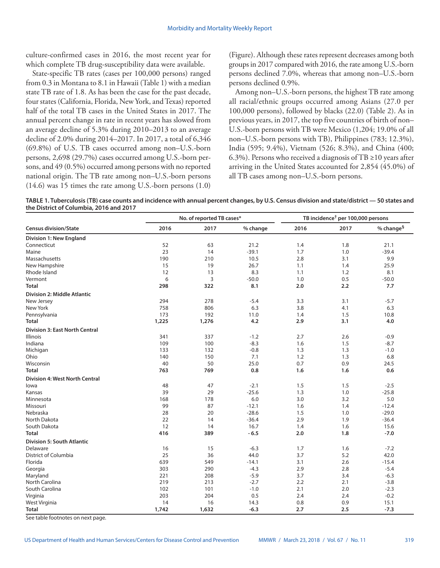culture-confirmed cases in 2016, the most recent year for which complete TB drug-susceptibility data were available.

State-specific TB rates (cases per 100,000 persons) ranged from 0.3 in Montana to 8.1 in Hawaii (Table 1) with a median state TB rate of 1.8. As has been the case for the past decade, four states (California, Florida, New York, and Texas) reported half of the total TB cases in the United States in 2017. The annual percent change in rate in recent years has slowed from an average decline of 5.3% during 2010–2013 to an average decline of 2.0% during 2014–2017. In 2017, a total of 6,346 (69.8%) of U.S. TB cases occurred among non–U.S.-born persons, 2,698 (29.7%) cases occurred among U.S.-born persons, and 49 (0.5%) occurred among persons with no reported national origin. The TB rate among non–U.S.-born persons (14.6) was 15 times the rate among U.S.-born persons (1.0) (Figure). Although these rates represent decreases among both groups in 2017 compared with 2016, the rate among U.S.-born persons declined 7.0%, whereas that among non–U.S.-born persons declined 0.9%.

Among non–U.S.-born persons, the highest TB rate among all racial/ethnic groups occurred among Asians (27.0 per 100,000 persons), followed by blacks (22.0) (Table 2). As in previous years, in 2017, the top five countries of birth of non– U.S.-born persons with TB were Mexico (1,204; 19.0% of all non–U.S.-born persons with TB), Philippines (783; 12.3%), India (595; 9.4%), Vietnam (526; 8.3%), and China (400; 6.3%). Persons who received a diagnosis of TB ≥10 years after arriving in the United States accounted for 2,854 (45.0%) of all TB cases among non–U.S.-born persons.

**TABLE 1. Tuberculosis (TB) case counts and incidence with annual percent changes, by U.S. Census division and state/district — 50 states and the District of Columbia, 2016 and 2017**

|                                       | No. of reported TB cases* |       |          | TB incidence <sup>†</sup> per 100,000 persons |      |                       |
|---------------------------------------|---------------------------|-------|----------|-----------------------------------------------|------|-----------------------|
| <b>Census division/State</b>          | 2016                      | 2017  | % change | 2016                                          | 2017 | % change <sup>§</sup> |
| <b>Division 1: New England</b>        |                           |       |          |                                               |      |                       |
| Connecticut                           | 52                        | 63    | 21.2     | 1.4                                           | 1.8  | 21.1                  |
| Maine                                 | 23                        | 14    | $-39.1$  | 1.7                                           | 1.0  | $-39.4$               |
| Massachusetts                         | 190                       | 210   | 10.5     | 2.8                                           | 3.1  | 9.9                   |
| New Hampshire                         | 15                        | 19    | 26.7     | 1.1                                           | 1.4  | 25.9                  |
| Rhode Island                          | 12                        | 13    | 8.3      | 1.1                                           | 1.2  | 8.1                   |
| Vermont                               | 6                         | 3     | $-50.0$  | 1.0                                           | 0.5  | $-50.0$               |
| <b>Total</b>                          | 298                       | 322   | 8.1      | 2.0                                           | 2.2  | 7.7                   |
| <b>Division 2: Middle Atlantic</b>    |                           |       |          |                                               |      |                       |
| New Jersey                            | 294                       | 278   | $-5.4$   | 3.3                                           | 3.1  | $-5.7$                |
| New York                              | 758                       | 806   | 6.3      | 3.8                                           | 4.1  | 6.3                   |
| Pennsylvania                          | 173                       | 192   | 11.0     | 1.4                                           | 1.5  | 10.8                  |
| <b>Total</b>                          | 1,225                     | 1,276 | 4.2      | 2.9                                           | 3.1  | 4.0                   |
| <b>Division 3: East North Central</b> |                           |       |          |                                               |      |                       |
| <b>Illinois</b>                       | 341                       | 337   | $-1.2$   | 2.7                                           | 2.6  | $-0.9$                |
| Indiana                               | 109                       | 100   | $-8.3$   | 1.6                                           | 1.5  | $-8.7$                |
| Michigan                              | 133                       | 132   | $-0.8$   | 1.3                                           | 1.3  | $-1.0$                |
| Ohio                                  | 140                       | 150   | 7.1      | 1.2                                           | 1.3  | 6.8                   |
| Wisconsin                             | 40                        | 50    | 25.0     | 0.7                                           | 0.9  | 24.5                  |
| <b>Total</b>                          | 763                       | 769   | 0.8      | 1.6                                           | 1.6  | 0.6                   |
| <b>Division 4: West North Central</b> |                           |       |          |                                               |      |                       |
| lowa                                  | 48                        | 47    | $-2.1$   | 1.5                                           | 1.5  | $-2.5$                |
| Kansas                                | 39                        | 29    | $-25.6$  | 1.3                                           | 1.0  | $-25.8$               |
| Minnesota                             | 168                       | 178   | 6.0      | 3.0                                           | 3.2  | 5.0                   |
| Missouri                              | 99                        | 87    | $-12.1$  | 1.6                                           | 1.4  | $-12.4$               |
| Nebraska                              | 28                        | 20    | $-28.6$  | 1.5                                           | 1.0  | $-29.0$               |
| North Dakota                          | 22                        | 14    | $-36.4$  | 2.9                                           | 1.9  | $-36.4$               |
| South Dakota                          | 12                        | 14    | 16.7     | 1.4                                           | 1.6  | 15.6                  |
| <b>Total</b>                          | 416                       | 389   | $-6.5$   | 2.0                                           | 1.8  | $-7.0$                |
| <b>Division 5: South Atlantic</b>     |                           |       |          |                                               |      |                       |
| Delaware                              | 16                        | 15    | $-6.3$   | 1.7                                           | 1.6  | $-7.2$                |
| <b>District of Columbia</b>           | 25                        | 36    | 44.0     | 3.7                                           | 5.2  | 42.0                  |
| Florida                               | 639                       | 549   | $-14.1$  | 3.1                                           | 2.6  | $-15.4$               |
| Georgia                               | 303                       | 290   | $-4.3$   | 2.9                                           | 2.8  | $-5.4$                |
| Maryland                              | 221                       | 208   | $-5.9$   | 3.7                                           | 3.4  | $-6.3$                |
| North Carolina                        | 219                       | 213   | $-2.7$   | 2.2                                           | 2.1  | $-3.8$                |
| South Carolina                        | 102                       | 101   | $-1.0$   | 2.1                                           | 2.0  | $-2.3$                |
| Virginia                              | 203                       | 204   | 0.5      | 2.4                                           | 2.4  | $-0.2$                |
| West Virginia                         | 14                        | 16    | 14.3     | 0.8                                           | 0.9  | 15.1                  |
| <b>Total</b><br>$\mathbf{r}$          | 1,742                     | 1,632 | $-6.3$   | 2.7                                           | 2.5  | $-7.3$                |

See table footnotes on next page.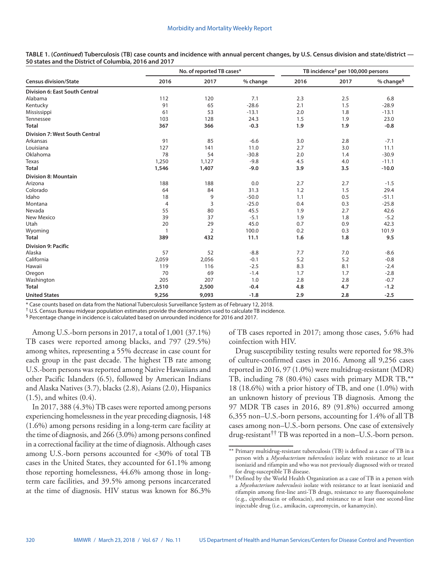**TABLE 1. (***Continued***) Tuberculosis (TB) case counts and incidence with annual percent changes, by U.S. Census division and state/district — 50 states and the District of Columbia, 2016 and 2017**

|                                       | No. of reported TB cases* |                |          | TB incidence <sup>†</sup> per 100,000 persons |      |                       |
|---------------------------------------|---------------------------|----------------|----------|-----------------------------------------------|------|-----------------------|
| <b>Census division/State</b>          | 2016                      | 2017           | % change | 2016                                          | 2017 | % change <sup>§</sup> |
| <b>Division 6: East South Central</b> |                           |                |          |                                               |      |                       |
| Alabama                               | 112                       | 120            | 7.1      | 2.3                                           | 2.5  | 6.8                   |
| Kentucky                              | 91                        | 65             | $-28.6$  | 2.1                                           | 1.5  | $-28.9$               |
| Mississippi                           | 61                        | 53             | $-13.1$  | 2.0                                           | 1.8  | $-13.1$               |
| Tennessee                             | 103                       | 128            | 24.3     | 1.5                                           | 1.9  | 23.0                  |
| <b>Total</b>                          | 367                       | 366            | $-0.3$   | 1.9                                           | 1.9  | $-0.8$                |
| <b>Division 7: West South Central</b> |                           |                |          |                                               |      |                       |
| Arkansas                              | 91                        | 85             | $-6.6$   | 3.0                                           | 2.8  | $-7.1$                |
| Louisiana                             | 127                       | 141            | 11.0     | 2.7                                           | 3.0  | 11.1                  |
| Oklahoma                              | 78                        | 54             | $-30.8$  | 2.0                                           | 1.4  | $-30.9$               |
| Texas                                 | 1,250                     | 1,127          | $-9.8$   | 4.5                                           | 4.0  | $-11.1$               |
| <b>Total</b>                          | 1,546                     | 1,407          | $-9.0$   | 3.9                                           | 3.5  | $-10.0$               |
| <b>Division 8: Mountain</b>           |                           |                |          |                                               |      |                       |
| Arizona                               | 188                       | 188            | 0.0      | 2.7                                           | 2.7  | $-1.5$                |
| Colorado                              | 64                        | 84             | 31.3     | 1.2                                           | 1.5  | 29.4                  |
| Idaho                                 | 18                        | 9              | $-50.0$  | 1.1                                           | 0.5  | $-51.1$               |
| Montana                               | 4                         | 3              | $-25.0$  | 0.4                                           | 0.3  | $-25.8$               |
| Nevada                                | 55                        | 80             | 45.5     | 1.9                                           | 2.7  | 42.6                  |
| <b>New Mexico</b>                     | 39                        | 37             | $-5.1$   | 1.9                                           | 1.8  | $-5.2$                |
| Utah                                  | 20                        | 29             | 45.0     | 0.7                                           | 0.9  | 42.3                  |
| Wyoming                               | $\mathbf{1}$              | $\overline{2}$ | 100.0    | 0.2                                           | 0.3  | 101.9                 |
| <b>Total</b>                          | 389                       | 432            | 11.1     | 1.6                                           | 1.8  | 9.5                   |
| <b>Division 9: Pacific</b>            |                           |                |          |                                               |      |                       |
| Alaska                                | 57                        | 52             | $-8.8$   | 7.7                                           | 7.0  | $-8.6$                |
| California                            | 2,059                     | 2,056          | $-0.1$   | 5.2                                           | 5.2  | $-0.8$                |
| Hawaii                                | 119                       | 116            | $-2.5$   | 8.3                                           | 8.1  | $-2.4$                |
| Oregon                                | 70                        | 69             | $-1.4$   | 1.7                                           | 1.7  | $-2.8$                |
| Washington                            | 205                       | 207            | 1.0      | 2.8                                           | 2.8  | $-0.7$                |
| <b>Total</b>                          | 2,510                     | 2,500          | $-0.4$   | 4.8                                           | 4.7  | $-1.2$                |
| <b>United States</b>                  | 9,256                     | 9,093          | $-1.8$   | 2.9                                           | 2.8  | $-2.5$                |

\* Case counts based on data from the National Tuberculosis Surveillance System as of February 12, 2018.

† U.S. Census Bureau midyear population estimates provide the denominators used to calculate TB incidence.

§ Percentage change in incidence is calculated based on unrounded incidence for 2016 and 2017.

Among U.S.-born persons in 2017, a total of 1,001 (37.1%) TB cases were reported among blacks, and 797 (29.5%) among whites, representing a 55% decrease in case count for each group in the past decade. The highest TB rate among U.S.-born persons was reported among Native Hawaiians and other Pacific Islanders (6.5), followed by American Indians and Alaska Natives (3.7), blacks (2.8), Asians (2.0), Hispanics (1.5), and whites (0.4).

In 2017, 388 (4.3%) TB cases were reported among persons experiencing homelessness in the year preceding diagnosis, 148 (1.6%) among persons residing in a long-term care facility at the time of diagnosis, and 266 (3.0%) among persons confined in a correctional facility at the time of diagnosis. Although cases among U.S.-born persons accounted for <30% of total TB cases in the United States, they accounted for 61.1% among those reporting homelessness, 44.6% among those in longterm care facilities, and 39.5% among persons incarcerated at the time of diagnosis. HIV status was known for 86.3% of TB cases reported in 2017; among those cases, 5.6% had coinfection with HIV.

Drug susceptibility testing results were reported for 98.3% of culture-confirmed cases in 2016. Among all 9,256 cases reported in 2016, 97 (1.0%) were multidrug-resistant (MDR) TB, including 78 (80.4%) cases with primary MDR TB,\*\* 18 (18.6%) with a prior history of TB, and one (1.0%) with an unknown history of previous TB diagnosis. Among the 97 MDR TB cases in 2016, 89 (91.8%) occurred among 6,355 non–U.S.-born persons, accounting for 1.4% of all TB cases among non–U.S.-born persons. One case of extensively drug-resistant†† TB was reported in a non–U.S.-born person.

<sup>\*\*</sup> Primary multidrug-resistant tuberculosis (TB) is defined as a case of TB in a person with a *Mycobacterium tuberculosis* isolate with resistance to at least isoniazid and rifampin and who was not previously diagnosed with or treated for drug-susceptible TB disease.

<sup>††</sup> Defined by the World Health Organization as a case of TB in a person with a *Mycobacterium tuberculosis* isolate with resistance to at least isoniazid and rifampin among first-line anti-TB drugs, resistance to any fluoroquinolone (e.g., ciprofloxacin or ofloxacin), and resistance to at least one second-line injectable drug (i.e., amikacin, capreomycin, or kanamycin).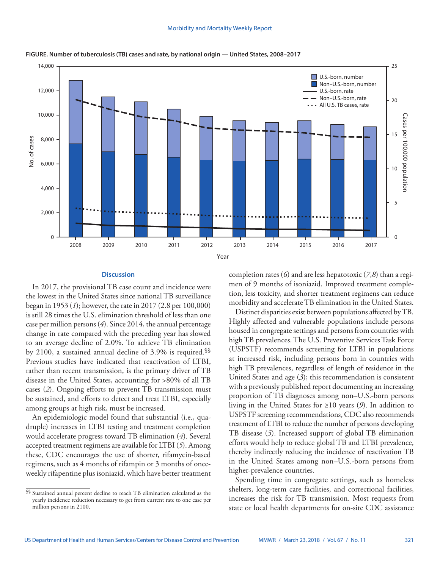

**FIGURE. Number of tuberculosis (TB) cases and rate, by national origin — United States, 2008–2017** 

#### **Discussion**

In 2017, the provisional TB case count and incidence were the lowest in the United States since national TB surveillance began in 1953 (*1*); however, the rate in 2017 (2.8 per 100,000) is still 28 times the U.S. elimination threshold of less than one case per million persons (*4*). Since 2014, the annual percentage change in rate compared with the preceding year has slowed to an average decline of 2.0%. To achieve TB elimination by 2100, a sustained annual decline of 3.9% is required.§§ Previous studies have indicated that reactivation of LTBI, rather than recent transmission, is the primary driver of TB disease in the United States, accounting for >80% of all TB cases (*2*). Ongoing efforts to prevent TB transmission must be sustained, and efforts to detect and treat LTBI, especially among groups at high risk, must be increased.

An epidemiologic model found that substantial (i.e., quadruple) increases in LTBI testing and treatment completion would accelerate progress toward TB elimination (*4*). Several accepted treatment regimens are available for LTBI (*5*). Among these, CDC encourages the use of shorter, rifamycin-based regimens, such as 4 months of rifampin or 3 months of onceweekly rifapentine plus isoniazid, which have better treatment completion rates (*6*) and are less hepatotoxic (*7*,*8*) than a regimen of 9 months of isoniazid. Improved treatment completion, less toxicity, and shorter treatment regimens can reduce morbidity and accelerate TB elimination in the United States.

Distinct disparities exist between populations affected by TB. Highly affected and vulnerable populations include persons housed in congregate settings and persons from countries with high TB prevalences. The U.S. Preventive Services Task Force (USPSTF) recommends screening for LTBI in populations at increased risk, including persons born in countries with high TB prevalences, regardless of length of residence in the United States and age (*3*); this recommendation is consistent with a previously published report documenting an increasing proportion of TB diagnoses among non–U.S.-born persons living in the United States for ≥10 years (*9*). In addition to USPSTF screening recommendations, CDC also recommends treatment of LTBI to reduce the number of persons developing TB disease (*5*). Increased support of global TB elimination efforts would help to reduce global TB and LTBI prevalence, thereby indirectly reducing the incidence of reactivation TB in the United States among non–U.S.-born persons from higher-prevalence countries.

Spending time in congregate settings, such as homeless shelters, long-term care facilities, and correctional facilities, increases the risk for TB transmission. Most requests from state or local health departments for on-site CDC assistance

<sup>§§</sup> Sustained annual percent decline to reach TB elimination calculated as the yearly incidence reduction necessary to get from current rate to one case per million persons in 2100.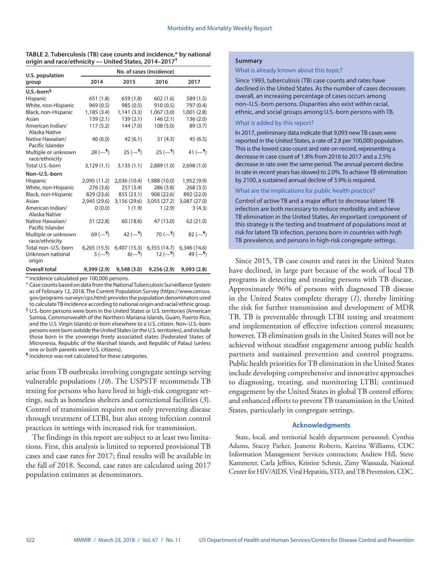| TABLE 2. Tuberculosis (TB) case counts and incidence,* by national |
|--------------------------------------------------------------------|
| origin and race/ethnicity — United States, 2014-2017 <sup>†</sup>  |

| U.S. population                       | No. of cases (incidence) |              |                           |              |  |  |
|---------------------------------------|--------------------------|--------------|---------------------------|--------------|--|--|
| group                                 | 2014                     | 2015         | 2016                      | 2017         |  |  |
| $U.S.-born§$                          |                          |              |                           |              |  |  |
| Hispanic                              | 651 (1.8)                | 659(1.8)     | 602(1.6)                  | 589 (1.5)    |  |  |
| White, non-Hispanic                   | 969(0.5)                 | 985 (0.5)    | 910(0.5)                  | 797 (0.4)    |  |  |
| Black, non-Hispanic                   | 1,185(3.4)               | 1,141(3.3)   | 1,067(3.0)                | 1,001(2.8)   |  |  |
| Asian                                 | 139(2.1)                 | 139(2.1)     | 146(2.1)                  | 136(2.0)     |  |  |
| American Indian/<br>Alaska Native     | 117(5.2)                 | 144 (7.0)    | 108(5.0)                  | 89 (3.7)     |  |  |
| Native Hawaiian/<br>Pacific Islander  | 40(6.0)                  | 42(6.1)      | 31(4.3)                   | 45(6.5)      |  |  |
| Multiple or unknown<br>race/ethnicity | $28 (-1)$                | $25 (-1)$    | $25 (-1)$                 | 41 $(-9)$    |  |  |
| Total U.S.-born                       | 3,129(1.1)               | 3,135(1.1)   | 2,889(1.0)                | 2,698(1.0)   |  |  |
| Non-U.S.-born                         |                          |              |                           |              |  |  |
| Hispanic                              | 2,095 (11.2)             | 2,036 (10.4) | 1,988 (10.0)              | 1,952 (9.9)  |  |  |
| White, non-Hispanic                   | 276(3.6)                 | 257(3.4)     | 286(3.8)                  | 268(3.5)     |  |  |
| Black, non-Hispanic                   | 829 (23.6)               | 855 (23.1)   | 908 (22.6)                | 892 (22.0)   |  |  |
| Asian                                 | 2,945 (29.6)             | 3,156 (29.6) | 3,055 (27.2)              | 3,087 (27.0) |  |  |
| American Indian/<br>Alaska Native     | 0(0.0)                   | 1(1.9)       | 1(2.9)                    | 3(4.3)       |  |  |
| Native Hawaiian/<br>Pacific Islander  | 51 (22.8)                | 60 (18.6)    | 47 (13.0)                 | 62 (21.0)    |  |  |
| Multiple or unknown<br>race/ethnicity | 69 ( $-$ <sup>¶</sup> )  | 42 $(-9)$    | $70(-9)$                  | $82 (-1)$    |  |  |
| Total non-U.S.-born                   | 6,265(15.5)              | 6,407 (15.3) | 6,355(14.7)               | 6,346 (14.6) |  |  |
| Unknown national<br>origin            | $5(-1)$                  | $6(-1)$      | $12$ ( $-$ <sup>q</sup> ) | 49 $(-1)$    |  |  |
| Overall total                         | 9,399(2.9)               | 9,548(3.0)   | 9,256(2.9)                | 9,093(2.8)   |  |  |

\* Incidence calculated per 100,000 persons.

† Case counts based on data from the National Tuberculosis Surveillance System as of February 12, 2018. The Current Population Survey (https://www.census. gov/programs-surveys/cps.html) provides the population denominators used to calculate TB incidence according to national origin and racial/ethnic group.

§ U.S.-born persons were born in the United States or U.S. territories (American Samoa, Commonwealth of the Northern Mariana Islands, Guam, Puerto Rico, and the U.S. Virgin Islands) or born elsewhere to a U.S. citizen. Non–U.S.-born persons were born outside the United States (or the U.S. territories), and include those born in the sovereign freely associated states (Federated States of Micronesia, Republic of the Marshall Islands, and Republic of Palau) (unless one or both parents were U.S. citizens).

¶ Incidence was not calculated for these categories.

arise from TB outbreaks involving congregate settings serving vulnerable populations (*10*). The USPSTF recommends TB testing for persons who have lived in high-risk congregate settings, such as homeless shelters and correctional facilities (*3*). Control of transmission requires not only preventing disease through treatment of LTBI, but also strong infection control practices in settings with increased risk for transmission.

The findings in this report are subject to at least two limitations. First, this analysis is limited to reported provisional TB cases and case rates for 2017; final results will be available in the fall of 2018. Second, case rates are calculated using 2017 population estimates as denominators.

#### **Summary**

#### What is already known about this topic?

Since 1993, tuberculosis (TB) case counts and rates have declined in the United States. As the number of cases decreases overall, an increasing percentage of cases occurs among non–U.S.-born persons. Disparities also exist within racial, ethnic, and social groups among U.S.-born persons with TB.

#### What is added by this report?

In 2017, preliminary data indicate that 9,093 new TB cases were reported in the United States, a rate of 2.8 per 100,000 population. This is the lowest case count and rate on record, representing a decrease in case count of 1.8% from 2016 to 2017 and a 2.5% decrease in rate over the same period. The annual percent decline in rate in recent years has slowed to 2.0%. To achieve TB elimination by 2100, a sustained annual decline of 3.9% is required.

#### What are the implications for public health practice?

Control of active TB and a major effort to decrease latent TB infection are both necessary to reduce morbidity and achieve TB elimination in the United States. An important component of this strategy is the testing and treatment of populations most at risk for latent TB infection, persons born in countries with high TB prevalence, and persons in high-risk congregate settings.

Since 2015, TB case counts and rates in the United States have declined, in large part because of the work of local TB programs in detecting and treating persons with TB disease. Approximately 96% of persons with diagnosed TB disease in the United States complete therapy (*1*), thereby limiting the risk for further transmission and development of MDR TB. TB is preventable through LTBI testing and treatment and implementation of effective infection control measures; however, TB elimination goals in the United States will not be achieved without steadfast engagement among public health partners and sustained prevention and control programs. Public health priorities for TB elimination in the United States include developing comprehensive and innovative approaches to diagnosing, treating, and monitoring LTBI; continued engagement by the United States in global TB control efforts; and enhanced efforts to prevent TB transmission in the United States, particularly in congregate settings.

## **Acknowledgments**

State, local, and territorial health department personnel; Cynthia Adams, Stacey Parker, Jeanette Roberts, Katrina Williams, CDC Information Management Services contractors; Andrew Hill, Steve Kammerer, Carla Jeffries, Kristine Schmit, Zimy Wansaula, National Center for HIV/AIDS, Viral Hepatitis, STD, and TB Prevention, CDC.